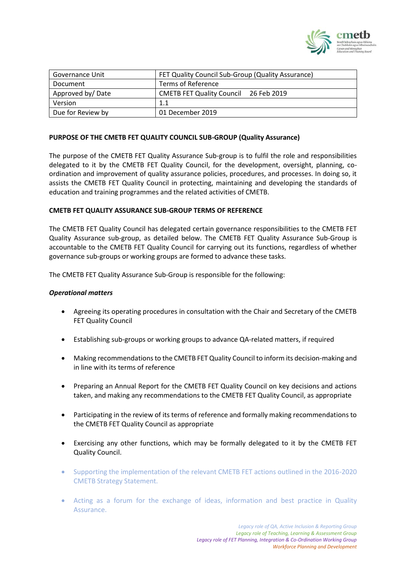

| Governance Unit   | FET Quality Council Sub-Group (Quality Assurance) |
|-------------------|---------------------------------------------------|
| Document          | Terms of Reference                                |
| Approved by/Date  | <b>CMETB FET Quality Council</b><br>26 Feb 2019   |
| Version           | 1.1                                               |
| Due for Review by | 01 December 2019                                  |

#### **PURPOSE OF THE CMETB FET QUALITY COUNCIL SUB-GROUP (Quality Assurance)**

The purpose of the CMETB FET Quality Assurance Sub-group is to fulfil the role and responsibilities delegated to it by the CMETB FET Quality Council, for the development, oversight, planning, coordination and improvement of quality assurance policies, procedures, and processes. In doing so, it assists the CMETB FET Quality Council in protecting, maintaining and developing the standards of education and training programmes and the related activities of CMETB.

#### **CMETB FET QUALITY ASSURANCE SUB-GROUP TERMS OF REFERENCE**

The CMETB FET Quality Council has delegated certain governance responsibilities to the CMETB FET Quality Assurance sub-group, as detailed below. The CMETB FET Quality Assurance Sub-Group is accountable to the CMETB FET Quality Council for carrying out its functions, regardless of whether governance sub-groups or working groups are formed to advance these tasks.

The CMETB FET Quality Assurance Sub-Group is responsible for the following:

#### *Operational matters*

- Agreeing its operating procedures in consultation with the Chair and Secretary of the CMETB FET Quality Council
- Establishing sub-groups or working groups to advance QA-related matters, if required
- Making recommendations to the CMETB FET Quality Council to inform its decision-making and in line with its terms of reference
- Preparing an Annual Report for the CMETB FET Quality Council on key decisions and actions taken, and making any recommendations to the CMETB FET Quality Council, as appropriate
- Participating in the review of its terms of reference and formally making recommendations to the CMETB FET Quality Council as appropriate
- Exercising any other functions, which may be formally delegated to it by the CMETB FET Quality Council.
- Supporting the implementation of the relevant CMETB FET actions outlined in the 2016-2020 CMETB Strategy Statement.
- Acting as a forum for the exchange of ideas, information and best practice in Quality Assurance.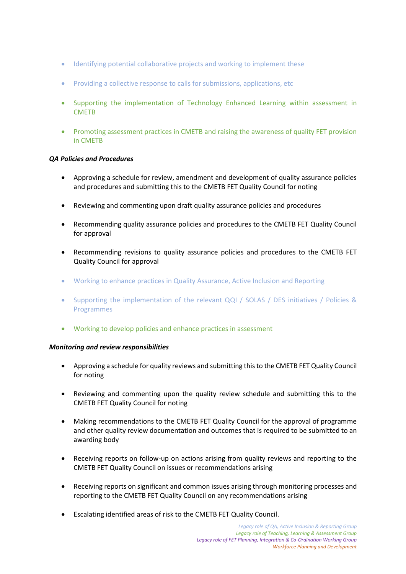- Identifying potential collaborative projects and working to implement these
- Providing a collective response to calls for submissions, applications, etc
- Supporting the implementation of Technology Enhanced Learning within assessment in **CMETB**
- Promoting assessment practices in CMETB and raising the awareness of quality FET provision in CMETB

#### *QA Policies and Procedures*

- Approving a schedule for review, amendment and development of quality assurance policies and procedures and submitting this to the CMETB FET Quality Council for noting
- Reviewing and commenting upon draft quality assurance policies and procedures
- Recommending quality assurance policies and procedures to the CMETB FET Quality Council for approval
- Recommending revisions to quality assurance policies and procedures to the CMETB FET Quality Council for approval
- Working to enhance practices in Quality Assurance, Active Inclusion and Reporting
- Supporting the implementation of the relevant QQI / SOLAS / DES initiatives / Policies & Programmes
- Working to develop policies and enhance practices in assessment

#### *Monitoring and review responsibilities*

- Approving a schedule for quality reviews and submitting this to the CMETB FET Quality Council for noting
- Reviewing and commenting upon the quality review schedule and submitting this to the CMETB FET Quality Council for noting
- Making recommendations to the CMETB FET Quality Council for the approval of programme and other quality review documentation and outcomes that is required to be submitted to an awarding body
- Receiving reports on follow-up on actions arising from quality reviews and reporting to the CMETB FET Quality Council on issues or recommendations arising
- Receiving reports on significant and common issues arising through monitoring processes and reporting to the CMETB FET Quality Council on any recommendations arising
- Escalating identified areas of risk to the CMETB FET Quality Council.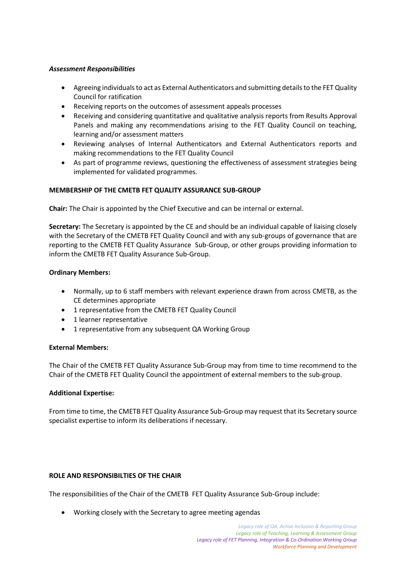## *Assessment Responsibilities*

- Agreeing individuals to act as External Authenticators and submitting details to the FET Quality Council for ratification
- Receiving reports on the outcomes of assessment appeals processes
- Receiving and considering quantitative and qualitative analysis reports from Results Approval Panels and making any recommendations arising to the FET Quality Council on teaching, learning and/or assessment matters
- Reviewing analyses of Internal Authenticators and External Authenticators reports and making recommendations to the FET Quality Council
- As part of programme reviews, questioning the effectiveness of assessment strategies being implemented for validated programmes.

## **MEMBERSHIP OF THE CMETB FET QUALITY ASSURANCE SUB-GROUP**

**Chair:** The Chair is appointed by the Chief Executive and can be internal or external.

**Secretary:** The Secretary is appointed by the CE and should be an individual capable of liaising closely with the Secretary of the CMETB FET Quality Council and with any sub-groups of governance that are reporting to the CMETB FET Quality Assurance Sub-Group, or other groups providing information to inform the CMETB FET Quality Assurance Sub-Group.

#### **Ordinary Members:**

- Normally, up to 6 staff members with relevant experience drawn from across CMETB, as the CE determines appropriate
- 1 representative from the CMETB FET Quality Council
- 1 learner representative
- 1 representative from any subsequent QA Working Group

#### **External Members:**

The Chair of the CMETB FET Quality Assurance Sub-Group may from time to time recommend to the Chair of the CMETB FET Quality Council the appointment of external members to the sub-group.

#### **Additional Expertise:**

From time to time, the CMETB FET Quality Assurance Sub-Group may request that its Secretary source specialist expertise to inform its deliberations if necessary.

### **ROLE AND RESPONSIBILTIES OF THE CHAIR**

The responsibilities of the Chair of the CMETB FET Quality Assurance Sub-Group include:

• Working closely with the Secretary to agree meeting agendas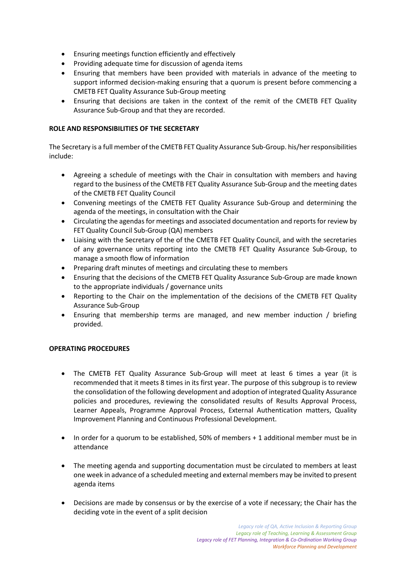- Ensuring meetings function efficiently and effectively
- Providing adequate time for discussion of agenda items
- Ensuring that members have been provided with materials in advance of the meeting to support informed decision-making ensuring that a quorum is present before commencing a CMETB FET Quality Assurance Sub-Group meeting
- Ensuring that decisions are taken in the context of the remit of the CMETB FET Quality Assurance Sub-Group and that they are recorded.

## **ROLE AND RESPONSIBILITIES OF THE SECRETARY**

The Secretary is a full member of the CMETB FET Quality Assurance Sub-Group. his/her responsibilities include:

- Agreeing a schedule of meetings with the Chair in consultation with members and having regard to the business of the CMETB FET Quality Assurance Sub-Group and the meeting dates of the CMETB FET Quality Council
- Convening meetings of the CMETB FET Quality Assurance Sub-Group and determining the agenda of the meetings, in consultation with the Chair
- Circulating the agendas for meetings and associated documentation and reports for review by FET Quality Council Sub-Group (QA) members
- Liaising with the Secretary of the of the CMETB FET Quality Council, and with the secretaries of any governance units reporting into the CMETB FET Quality Assurance Sub-Group, to manage a smooth flow of information
- Preparing draft minutes of meetings and circulating these to members
- Ensuring that the decisions of the CMETB FET Quality Assurance Sub-Group are made known to the appropriate individuals / governance units
- Reporting to the Chair on the implementation of the decisions of the CMETB FET Quality Assurance Sub-Group
- Ensuring that membership terms are managed, and new member induction / briefing provided.

# **OPERATING PROCEDURES**

- The CMETB FET Quality Assurance Sub-Group will meet at least 6 times a year (it is recommended that it meets 8 times in its first year. The purpose of this subgroup is to review the consolidation of the following development and adoption of integrated Quality Assurance policies and procedures, reviewing the consolidated results of Results Approval Process, Learner Appeals, Programme Approval Process, External Authentication matters, Quality Improvement Planning and Continuous Professional Development.
- In order for a quorum to be established, 50% of members + 1 additional member must be in attendance
- The meeting agenda and supporting documentation must be circulated to members at least one week in advance of a scheduled meeting and external members may be invited to present agenda items
- Decisions are made by consensus or by the exercise of a vote if necessary; the Chair has the deciding vote in the event of a split decision